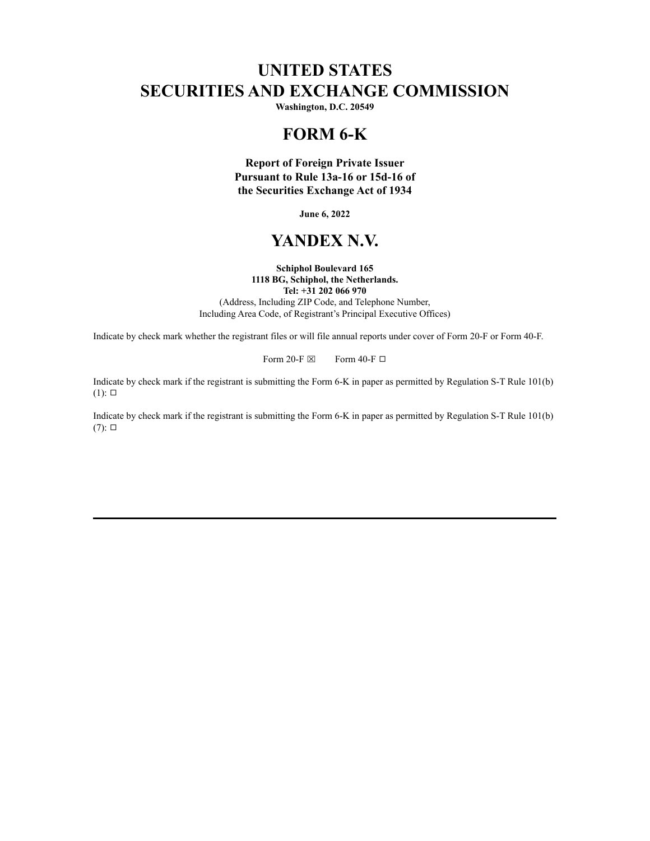# **UNITED STATES SECURITIES AND EXCHANGE COMMISSION**

**Washington, D.C. 20549**

## **FORM 6-K**

**Report of Foreign Private Issuer Pursuant to Rule 13a-16 or 15d-16 of the Securities Exchange Act of 1934**

**June 6, 2022**

# **YANDEX N.V.**

#### **Schiphol Boulevard 165 1118 BG, Schiphol, the Netherlands. Tel: +31 202 066 970**

(Address, Including ZIP Code, and Telephone Number, Including Area Code, of Registrant's Principal Executive Offices)

Indicate by check mark whether the registrant files or will file annual reports under cover of Form 20-F or Form 40-F.

Form 20-F  $\boxtimes$  Form 40-F  $\Box$ 

Indicate by check mark if the registrant is submitting the Form 6-K in paper as permitted by Regulation S-T Rule 101(b)  $(1)$ :  $\square$ 

Indicate by check mark if the registrant is submitting the Form 6-K in paper as permitted by Regulation S-T Rule 101(b)  $(7): \Box$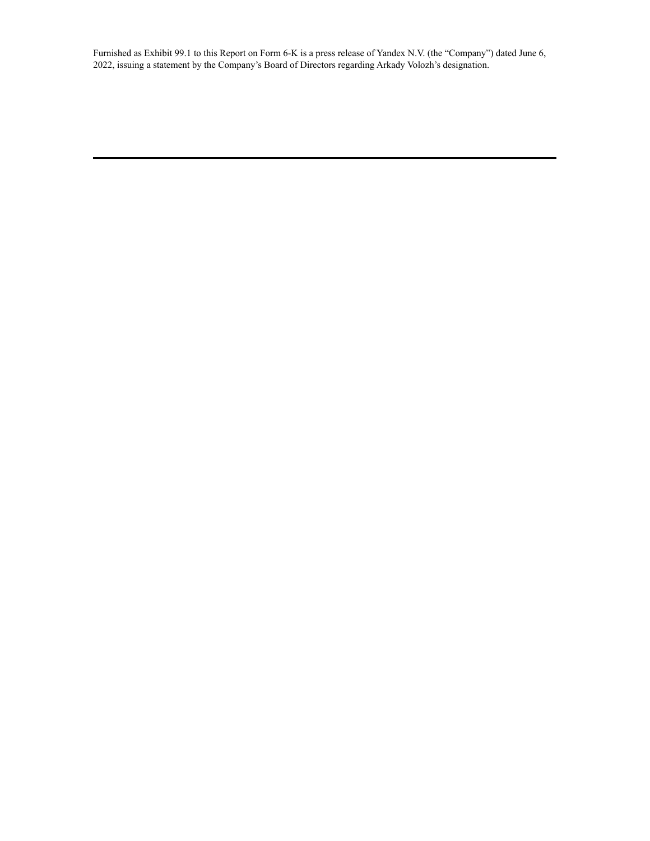Furnished as Exhibit 99.1 to this Report on Form 6-K is a press release of Yandex N.V. (the "Company") dated June 6, 2022, issuing a statement by the Company's Board of Directors regarding Arkady Volozh's designation.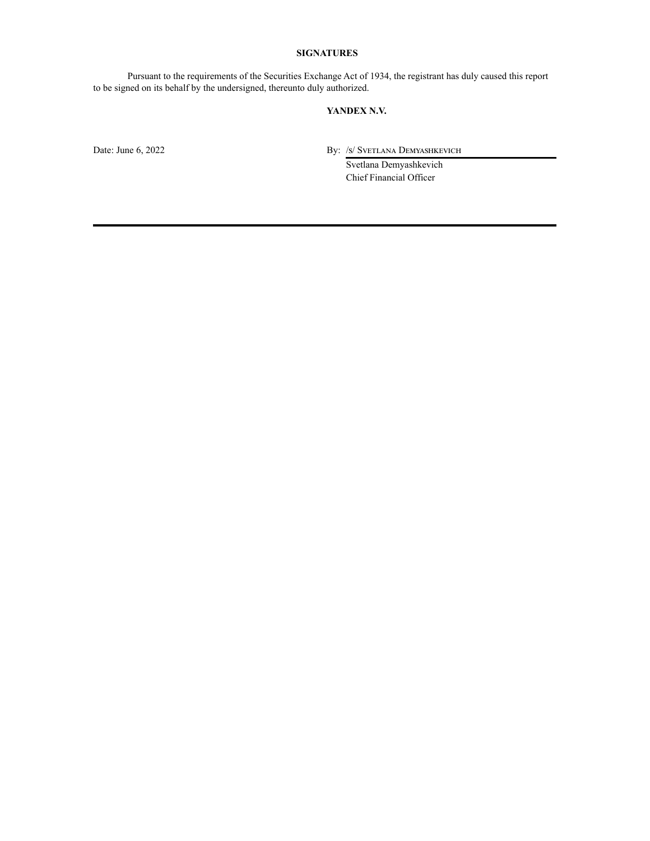## **SIGNATURES**

Pursuant to the requirements of the Securities Exchange Act of 1934, the registrant has duly caused this report to be signed on its behalf by the undersigned, thereunto duly authorized.

#### **YANDEX N.V.**

Date: June 6, 2022 By: /s/ Svetlana Demyashkevich

Svetlana Demyashkevich Chief Financial Officer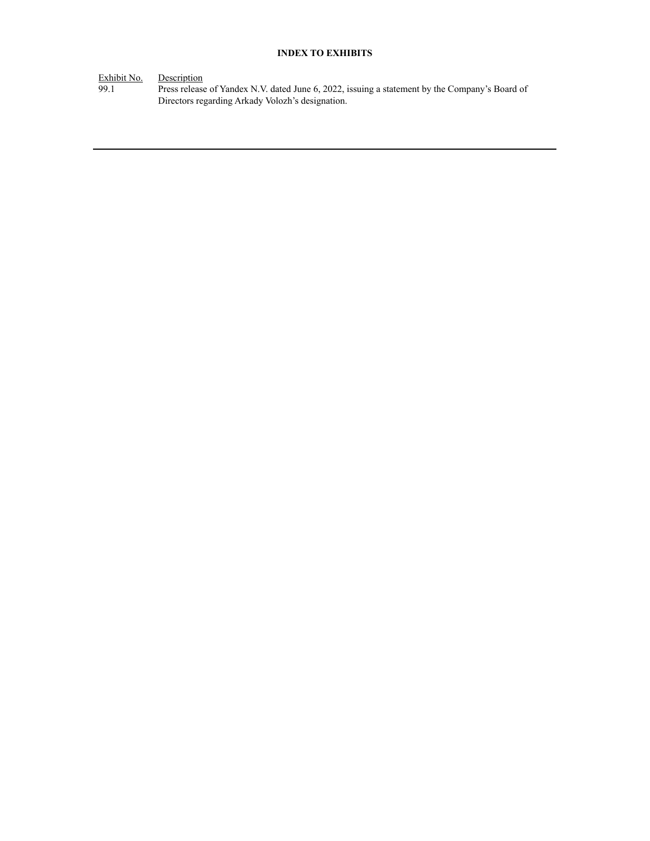## **INDEX TO EXHIBITS**

Exhibit No. Description

99.1 Press release of Yandex N.V. dated June 6, 2022, issuing a statement by the Company's Board of Directors regarding Arkady Volozh's designation.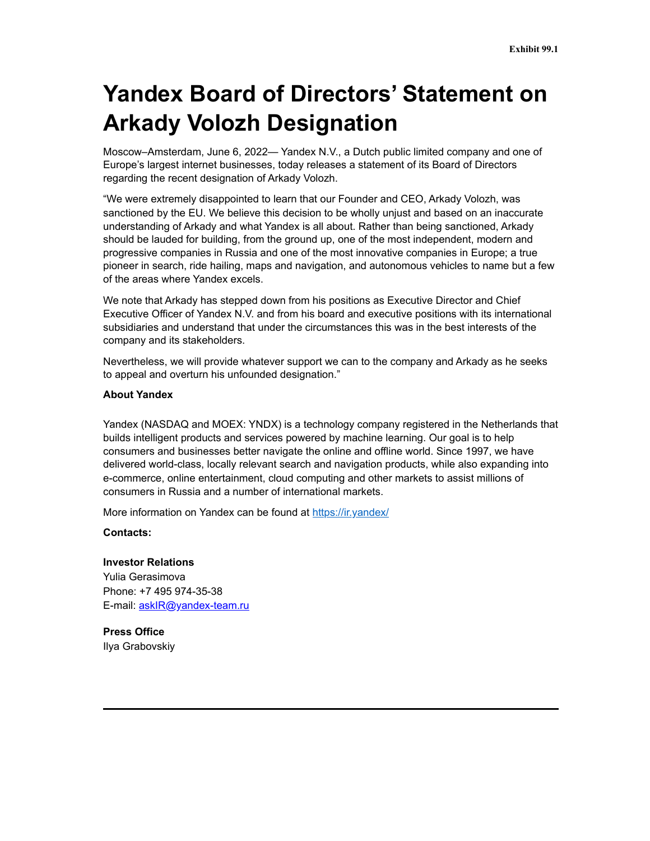# **Yandex Board of Directors' Statement on Arkady Volozh Designation**

Moscow–Amsterdam, June 6, 2022— Yandex N.V., a Dutch public limited company and one of Europe's largest internet businesses, today releases a statement of its Board of Directors regarding the recent designation of Arkady Volozh.

"We were extremely disappointed to learn that our Founder and CEO, Arkady Volozh, was sanctioned by the EU. We believe this decision to be wholly unjust and based on an inaccurate understanding of Arkady and what Yandex is all about. Rather than being sanctioned, Arkady should be lauded for building, from the ground up, one of the most independent, modern and progressive companies in Russia and one of the most innovative companies in Europe; a true pioneer in search, ride hailing, maps and navigation, and autonomous vehicles to name but a few of the areas where Yandex excels.

We note that Arkady has stepped down from his positions as Executive Director and Chief Executive Officer of Yandex N.V. and from his board and executive positions with its international subsidiaries and understand that under the circumstances this was in the best interests of the company and its stakeholders.

Nevertheless, we will provide whatever support we can to the company and Arkady as he seeks to appeal and overturn his unfounded designation."

#### **About Yandex**

Yandex (NASDAQ and MOEX: YNDX) is a technology company registered in the Netherlands that builds intelligent products and services powered by machine learning. Our goal is to help consumers and businesses better navigate the online and offline world. Since 1997, we have delivered world-class, locally relevant search and navigation products, while also expanding into e-commerce, online entertainment, cloud computing and other markets to assist millions of consumers in Russia and a number of international markets.

More information on Yandex can be found at https://ir.yandex/

**Contacts:**

## **Investor Relations**

Yulia Gerasimova Phone: +7 495 974-35-38 E-mail: askIR@yandex-team.ru

**Press Office** Ilya Grabovskiy